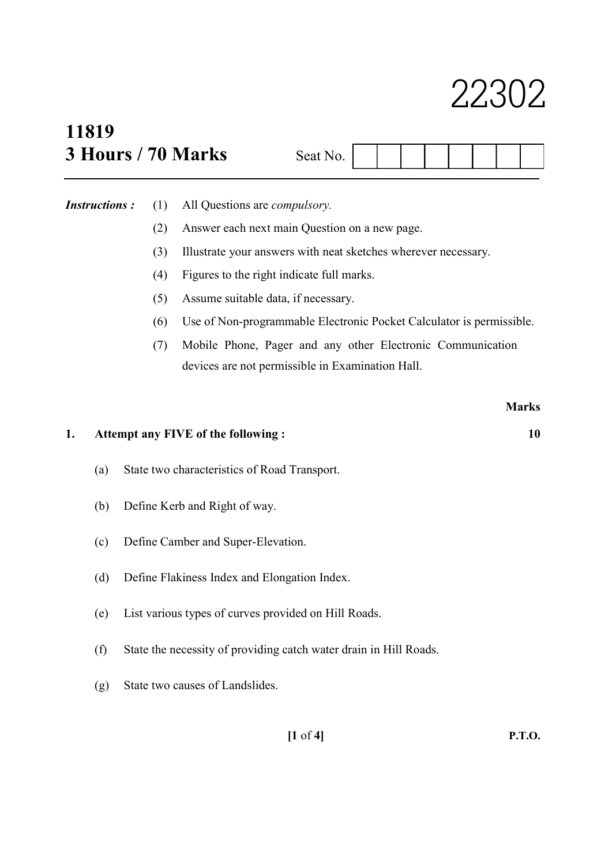# 22302

## 11819 3 Hours / 70 Marks

| Seat I           |  |  |  |  |
|------------------|--|--|--|--|
| $\overline{O}$ . |  |  |  |  |

Instructions : (1) All Questions are compulsory.

- (2) Answer each next main Question on a new page.
- (3) Illustrate your answers with neat sketches wherever necessary.
- (4) Figures to the right indicate full marks.
- (5) Assume suitable data, if necessary.
- (6) Use of Non-programmable Electronic Pocket Calculator is permissible.
- (7) Mobile Phone, Pager and any other Electronic Communication devices are not permissible in Examination Hall.

|    |                                    |                                                                   | <b>Marks</b> |  |  |  |  |
|----|------------------------------------|-------------------------------------------------------------------|--------------|--|--|--|--|
| 1. | Attempt any FIVE of the following: |                                                                   |              |  |  |  |  |
|    | (a)                                | State two characteristics of Road Transport.                      |              |  |  |  |  |
|    | (b)                                | Define Kerb and Right of way.                                     |              |  |  |  |  |
|    | (c)                                | Define Camber and Super-Elevation.                                |              |  |  |  |  |
|    | (d)                                | Define Flakiness Index and Elongation Index.                      |              |  |  |  |  |
|    | (e)                                | List various types of curves provided on Hill Roads.              |              |  |  |  |  |
|    | (f)                                | State the necessity of providing catch water drain in Hill Roads. |              |  |  |  |  |
|    | (g)                                | State two causes of Landslides.                                   |              |  |  |  |  |

[1 of 4] P.T.O.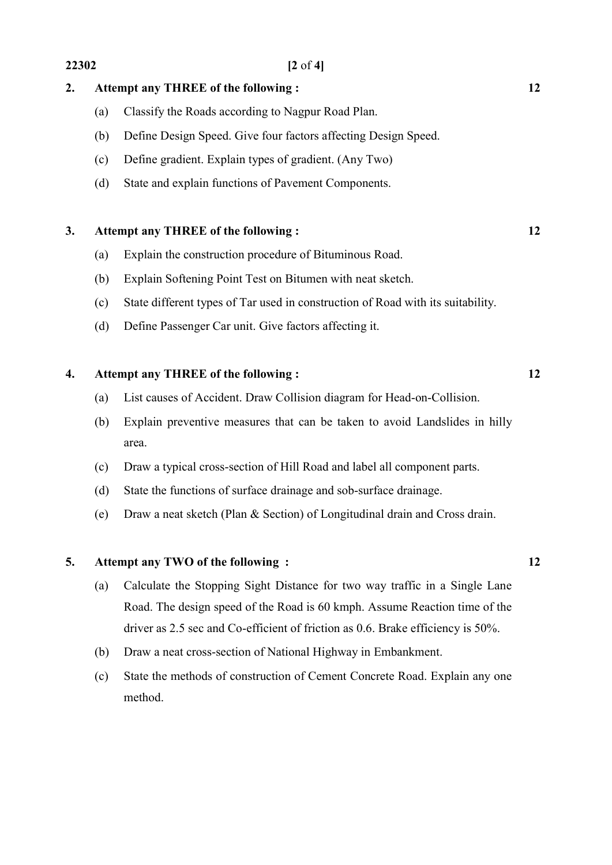#### 2. Attempt any THREE of the following : 12

- (a) Classify the Roads according to Nagpur Road Plan.
- (b) Define Design Speed. Give four factors affecting Design Speed.
- (c) Define gradient. Explain types of gradient. (Any Two)
- (d) State and explain functions of Pavement Components.

### 3. Attempt any THREE of the following : 12

- (a) Explain the construction procedure of Bituminous Road.
- (b) Explain Softening Point Test on Bitumen with neat sketch.
- (c) State different types of Tar used in construction of Road with its suitability.
- (d) Define Passenger Car unit. Give factors affecting it.

### 4. Attempt any THREE of the following : 12

- (a) List causes of Accident. Draw Collision diagram for Head-on-Collision.
- (b) Explain preventive measures that can be taken to avoid Landslides in hilly area.
- (c) Draw a typical cross-section of Hill Road and label all component parts.
- (d) State the functions of surface drainage and sob-surface drainage.
- (e) Draw a neat sketch (Plan & Section) of Longitudinal drain and Cross drain.

#### 5. Attempt any TWO of the following : 12

- (a) Calculate the Stopping Sight Distance for two way traffic in a Single Lane Road. The design speed of the Road is 60 kmph. Assume Reaction time of the driver as 2.5 sec and Co-efficient of friction as 0.6. Brake efficiency is 50%.
- (b) Draw a neat cross-section of National Highway in Embankment.
- (c) State the methods of construction of Cement Concrete Road. Explain any one method.